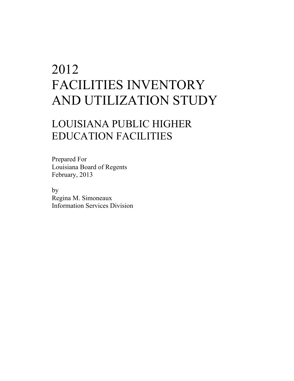## 2012 FACILITIES INVENTORY AND UTILIZATION STUDY

## LOUISIANA PUBLIC HIGHER EDUCATION FACILITIES

Prepared For Louisiana Board of Regents February, 2013

 by Regina M. Simoneaux Information Services Division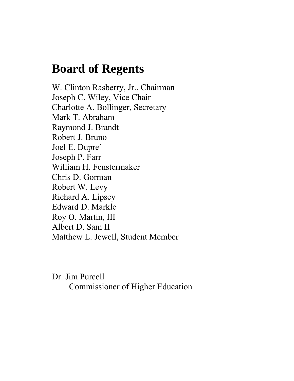## **Board of Regents**

W. Clinton Rasberry, Jr., Chairman Joseph C. Wiley, Vice Chair Charlotte A. Bollinger, Secretary Mark T. Abraham Raymond J. Brandt Robert J. Bruno Joel E. Dupreʹ Joseph P. Farr William H. Fenstermaker Chris D. Gorman Robert W. Levy Richard A. Lipsey Edward D. Markle Roy O. Martin, III Albert D. Sam II Matthew L. Jewell, Student Member

Dr. Jim Purcell Commissioner of Higher Education